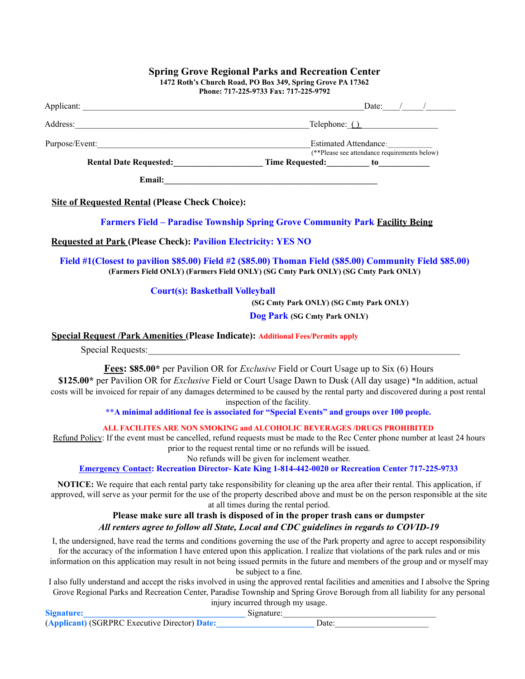|                                                                                         | (**Please see attendance requirements below)<br>Rental Date Requested: Time Requested: to to the Rental Date Requested:                                                                       |  |  |
|-----------------------------------------------------------------------------------------|-----------------------------------------------------------------------------------------------------------------------------------------------------------------------------------------------|--|--|
|                                                                                         |                                                                                                                                                                                               |  |  |
| <b>Site of Requested Rental (Please Check Choice):</b>                                  |                                                                                                                                                                                               |  |  |
|                                                                                         |                                                                                                                                                                                               |  |  |
|                                                                                         | <b>Farmers Field - Paradise Township Spring Grove Community Park Facility Being</b>                                                                                                           |  |  |
| <b>Requested at Park (Please Check): Pavilion Electricity: YES NO</b>                   |                                                                                                                                                                                               |  |  |
|                                                                                         | Field #1(Closest to pavilion \$85.00) Field #2 (\$85.00) Thoman Field (\$85.00) Community Field \$85.00)<br>(Farmers Field ONLY) (Farmers Field ONLY) (SG Cmty Park ONLY) (SG Cmty Park ONLY) |  |  |
| <b>Court(s): Basketball Volleyball</b>                                                  |                                                                                                                                                                                               |  |  |
|                                                                                         | (SG Cmty Park ONLY) (SG Cmty Park ONLY)                                                                                                                                                       |  |  |
|                                                                                         | Dog Park (SG Cmty Park ONLY)                                                                                                                                                                  |  |  |
| <b>Special Request /Park Amenities (Please Indicate): Additional Fees/Permits apply</b> |                                                                                                                                                                                               |  |  |

**Spring Grove Regional Parks and Recreation Center**

inspection of the facility*.*

**\*\*A minimal additional fee is associated for "Special Events" and groups over 100 people.**

**ALL FACILITES ARE NON SMOKING and ALCOHOLIC BEVERAGES /DRUGS PROHIBITED**

Refund Policy: If the event must be cancelled, refund requests must be made to the Rec Center phone number at least 24 hours prior to the request rental time or no refunds will be issued.

No refunds will be given for inclement weather.

**Emergency Contact: Recreation Director- Kate King 1-814-442-0020 or Recreation Center 717-225-9733**

**NOTICE:** We require that each rental party take responsibility for cleaning up the area after their rental. This application, if approved, will serve as your permit for the use of the property described above and must be on the person responsible at the site at all times during the rental period.

## **Please make sure all trash is disposed of in the proper trash cans or dumpster** *All renters agree to follow all State, Local and CDC guidelines in regards to COVID-19*

I, the undersigned, have read the terms and conditions governing the use of the Park property and agree to accept responsibility for the accuracy of the information I have entered upon this application. I realize that violations of the park rules and or mis information on this application may result in not being issued permits in the future and members of the group and or myself may be subject to a fine.

I also fully understand and accept the risks involved in using the approved rental facilities and amenities and I absolve the Spring Grove Regional Parks and Recreation Center, Paradise Township and Spring Grove Borough from all liability for any personal injury incurred through my usage.

|                                               | $\mathbf{m}$ and $\mathbf{m}$ and $\mathbf{m}$ and $\mathbf{m}$ and $\mathbf{m}$ and $\mathbf{m}$ and $\mathbf{m}$ |
|-----------------------------------------------|--------------------------------------------------------------------------------------------------------------------|
| <b>Signature:</b>                             | Signature:                                                                                                         |
| (Applicant) (SGRPRC Executive Director) Date: | Jate                                                                                                               |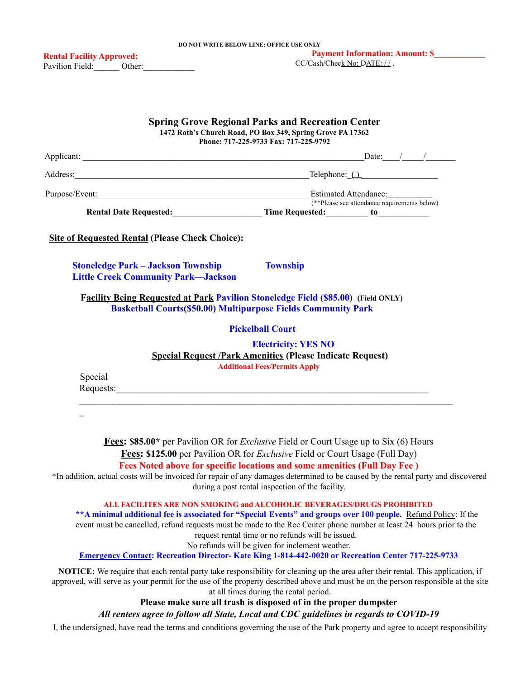| <b>Spring Grove Regional Parks and Recreation Center</b><br>1472 Roth's Church Road, PO Box 349, Spring Grove PA 17362<br>Phone: 717-225-9733 Fax: 717-225-9792   |                                                                                                                                                                                                                                                                                                                                                                                                                                                                                                                                           |  |  |  |
|-------------------------------------------------------------------------------------------------------------------------------------------------------------------|-------------------------------------------------------------------------------------------------------------------------------------------------------------------------------------------------------------------------------------------------------------------------------------------------------------------------------------------------------------------------------------------------------------------------------------------------------------------------------------------------------------------------------------------|--|--|--|
|                                                                                                                                                                   |                                                                                                                                                                                                                                                                                                                                                                                                                                                                                                                                           |  |  |  |
|                                                                                                                                                                   |                                                                                                                                                                                                                                                                                                                                                                                                                                                                                                                                           |  |  |  |
|                                                                                                                                                                   |                                                                                                                                                                                                                                                                                                                                                                                                                                                                                                                                           |  |  |  |
|                                                                                                                                                                   | (**Please see attendance requirements below)<br>Rental Date Requested: Time Requested: to to the Rental Date Requested:                                                                                                                                                                                                                                                                                                                                                                                                                   |  |  |  |
| <b>Site of Requested Rental (Please Check Choice):</b>                                                                                                            |                                                                                                                                                                                                                                                                                                                                                                                                                                                                                                                                           |  |  |  |
| <b>Stoneledge Park – Jackson Township</b><br><b>Little Creek Community Park-Jackson</b>                                                                           | <b>Township</b>                                                                                                                                                                                                                                                                                                                                                                                                                                                                                                                           |  |  |  |
| <b>Facility Being Requested at Park Pavilion Stoneledge Field (\$85.00)</b> (Field ONLY)<br><b>Basketball Courts (\$50.00) Multipurpose Fields Community Park</b> |                                                                                                                                                                                                                                                                                                                                                                                                                                                                                                                                           |  |  |  |
|                                                                                                                                                                   | <b>Pickelball Court</b>                                                                                                                                                                                                                                                                                                                                                                                                                                                                                                                   |  |  |  |
| Special                                                                                                                                                           | <b>Electricity: YES NO</b><br><b>Special Request /Park Amenities (Please Indicate Request)</b><br><b>Additional Fees/Permits Apply</b>                                                                                                                                                                                                                                                                                                                                                                                                    |  |  |  |
|                                                                                                                                                                   | <b>Fees: \$85.00*</b> per Pavilion OR for <i>Exclusive</i> Field or Court Usage up to Six (6) Hours<br>Fees: \$125.00 per Pavilion OR for <i>Exclusive</i> Field or Court Usage (Full Day)<br>Fees Noted above for specific locations and some amenities (Full Day Fee)<br>*In addition, actual costs will be invoiced for repair of any damages determined to be caused by the rental party and discovered<br>during a post rental inspection of the facility.<br>ALL FACILITES ARE NON SMOKING and ALCOHOLIC BEVERAGES/DRUGS PROHIBITED |  |  |  |
|                                                                                                                                                                   | ** A minimal additional fee is associated for "Special Events" and groups over 100 people. Refund Policy: If the<br>event must be cancelled, refund requests must be made to the Rec Center phone number at least 24 hours prior to the<br>request rental time or no refunds will be issued.<br>No refunds will be given for inclement weather.<br><b>Emergency Contact: Recreation Director- Kate King 1-814-442-0020 or Recreation Center 717-225-9733</b>                                                                              |  |  |  |
|                                                                                                                                                                   | <b>NOTICE:</b> We require that each rental party take responsibility for cleaning up the area after their rental. This application, if<br>approved, will serve as your permit for the use of the property described above and must be on the person responsible at the site<br>at all times during the rental period.                                                                                                                                                                                                                     |  |  |  |

**Please make sure all trash is disposed of in the proper dumpster**

*All renters agree to follow all State, Local and CDC guidelines in regards to COVID-19*

I, the undersigned, have read the terms and conditions governing the use of the Park property and agree to accept responsibility